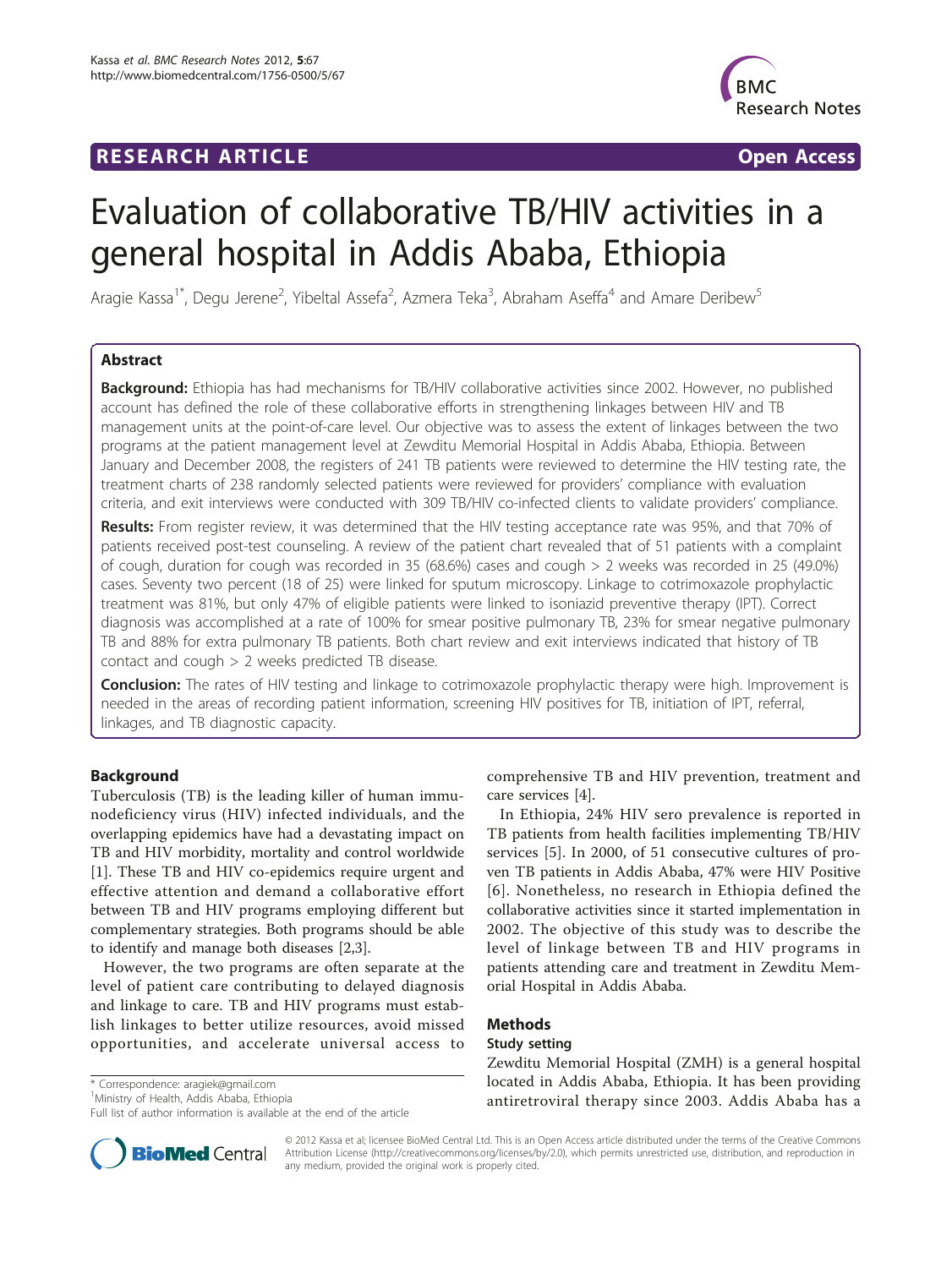## RESEARCH ARTICLE **The Contract of the Contract Open Access**



# Evaluation of collaborative TB/HIV activities in a general hospital in Addis Ababa, Ethiopia

Aragie Kassa<sup>1\*</sup>, Degu Jerene<sup>2</sup>, Yibeltal Assefa<sup>2</sup>, Azmera Teka<sup>3</sup>, Abraham Aseffa<sup>4</sup> and Amare Deribew<sup>5</sup>

## Abstract

Background: Ethiopia has had mechanisms for TB/HIV collaborative activities since 2002. However, no published account has defined the role of these collaborative efforts in strengthening linkages between HIV and TB management units at the point-of-care level. Our objective was to assess the extent of linkages between the two programs at the patient management level at Zewditu Memorial Hospital in Addis Ababa, Ethiopia. Between January and December 2008, the registers of 241 TB patients were reviewed to determine the HIV testing rate, the treatment charts of 238 randomly selected patients were reviewed for providers' compliance with evaluation criteria, and exit interviews were conducted with 309 TB/HIV co-infected clients to validate providers' compliance.

Results: From register review, it was determined that the HIV testing acceptance rate was 95%, and that 70% of patients received post-test counseling. A review of the patient chart revealed that of 51 patients with a complaint of cough, duration for cough was recorded in 35 (68.6%) cases and cough > 2 weeks was recorded in 25 (49.0%) cases. Seventy two percent (18 of 25) were linked for sputum microscopy. Linkage to cotrimoxazole prophylactic treatment was 81%, but only 47% of eligible patients were linked to isoniazid preventive therapy (IPT). Correct diagnosis was accomplished at a rate of 100% for smear positive pulmonary TB, 23% for smear negative pulmonary TB and 88% for extra pulmonary TB patients. Both chart review and exit interviews indicated that history of TB contact and cough > 2 weeks predicted TB disease.

Conclusion: The rates of HIV testing and linkage to cotrimoxazole prophylactic therapy were high. Improvement is needed in the areas of recording patient information, screening HIV positives for TB, initiation of IPT, referral, linkages, and TB diagnostic capacity.

## Background

Tuberculosis (TB) is the leading killer of human immunodeficiency virus (HIV) infected individuals, and the overlapping epidemics have had a devastating impact on TB and HIV morbidity, mortality and control worldwide [[1\]](#page-5-0). These TB and HIV co-epidemics require urgent and effective attention and demand a collaborative effort between TB and HIV programs employing different but complementary strategies. Both programs should be able to identify and manage both diseases [[2,3\]](#page-5-0).

However, the two programs are often separate at the level of patient care contributing to delayed diagnosis and linkage to care. TB and HIV programs must establish linkages to better utilize resources, avoid missed opportunities, and accelerate universal access to

\* Correspondence: [aragiek@gmail.com](mailto:aragiek@gmail.com)

<sup>1</sup>Ministry of Health, Addis Ababa, Ethiopia

Full list of author information is available at the end of the article



In Ethiopia, 24% HIV sero prevalence is reported in TB patients from health facilities implementing TB/HIV services [[5\]](#page-5-0). In 2000, of 51 consecutive cultures of proven TB patients in Addis Ababa, 47% were HIV Positive [[6](#page-5-0)]. Nonetheless, no research in Ethiopia defined the collaborative activities since it started implementation in 2002. The objective of this study was to describe the level of linkage between TB and HIV programs in patients attending care and treatment in Zewditu Memorial Hospital in Addis Ababa.

## Methods

#### Study setting

Zewditu Memorial Hospital (ZMH) is a general hospital located in Addis Ababa, Ethiopia. It has been providing antiretroviral therapy since 2003. Addis Ababa has a



© 2012 Kassa et al; licensee BioMed Central Ltd. This is an Open Access article distributed under the terms of the Creative Commons Attribution License [\(http://creativecommons.org/licenses/by/2.0](http://creativecommons.org/licenses/by/2.0)), which permits unrestricted use, distribution, and reproduction in any medium, provided the original work is properly cited.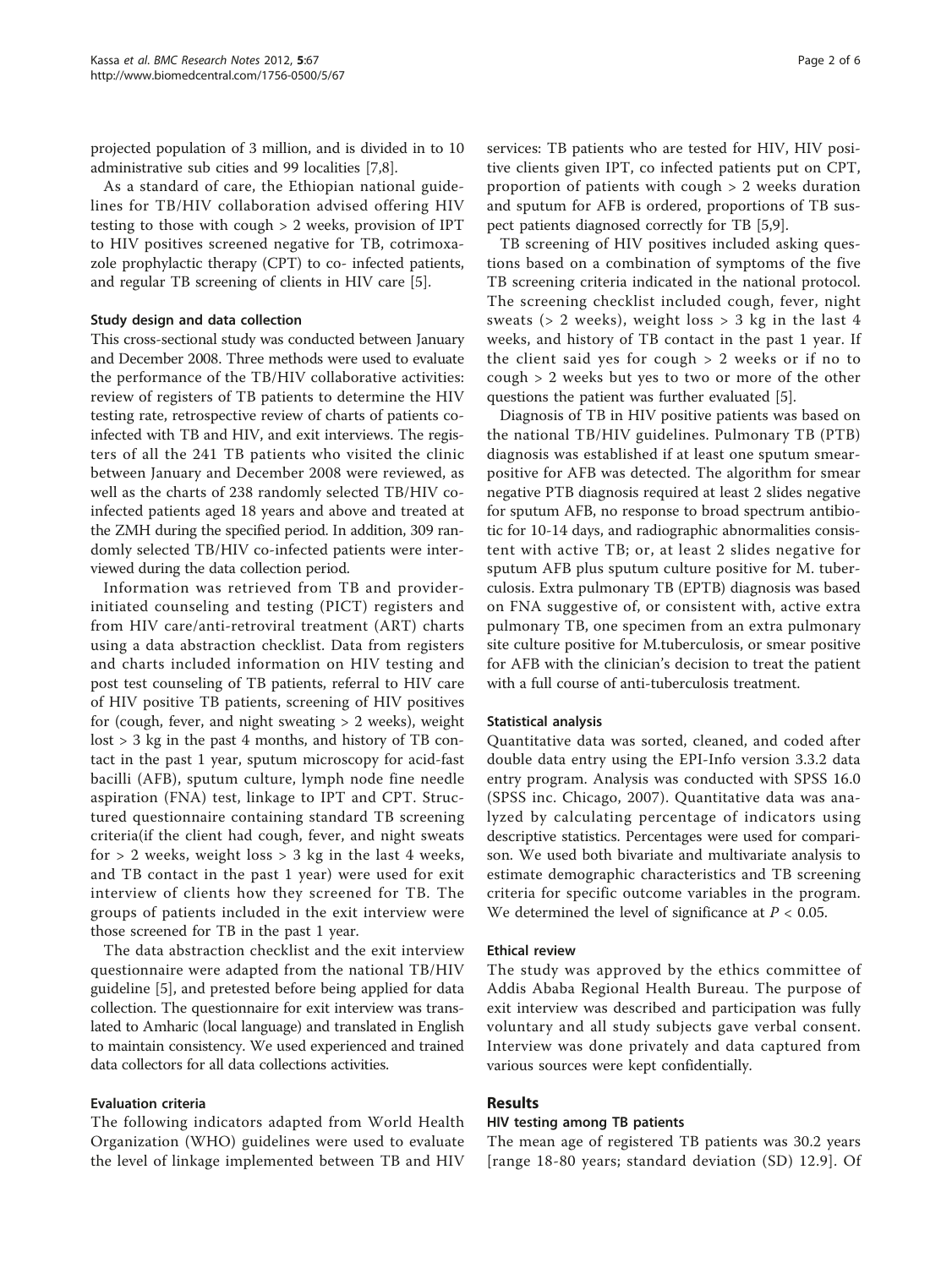projected population of 3 million, and is divided in to 10 administrative sub cities and 99 localities [[7,8\]](#page-5-0).

As a standard of care, the Ethiopian national guidelines for TB/HIV collaboration advised offering HIV testing to those with cough > 2 weeks, provision of IPT to HIV positives screened negative for TB, cotrimoxazole prophylactic therapy (CPT) to co- infected patients, and regular TB screening of clients in HIV care [[5\]](#page-5-0).

## Study design and data collection

This cross-sectional study was conducted between January and December 2008. Three methods were used to evaluate the performance of the TB/HIV collaborative activities: review of registers of TB patients to determine the HIV testing rate, retrospective review of charts of patients coinfected with TB and HIV, and exit interviews. The registers of all the 241 TB patients who visited the clinic between January and December 2008 were reviewed, as well as the charts of 238 randomly selected TB/HIV coinfected patients aged 18 years and above and treated at the ZMH during the specified period. In addition, 309 randomly selected TB/HIV co-infected patients were interviewed during the data collection period.

Information was retrieved from TB and providerinitiated counseling and testing (PICT) registers and from HIV care/anti-retroviral treatment (ART) charts using a data abstraction checklist. Data from registers and charts included information on HIV testing and post test counseling of TB patients, referral to HIV care of HIV positive TB patients, screening of HIV positives for (cough, fever, and night sweating  $> 2$  weeks), weight lost > 3 kg in the past 4 months, and history of TB contact in the past 1 year, sputum microscopy for acid-fast bacilli (AFB), sputum culture, lymph node fine needle aspiration (FNA) test, linkage to IPT and CPT. Structured questionnaire containing standard TB screening criteria(if the client had cough, fever, and night sweats for  $> 2$  weeks, weight loss  $> 3$  kg in the last 4 weeks, and TB contact in the past 1 year) were used for exit interview of clients how they screened for TB. The groups of patients included in the exit interview were those screened for TB in the past 1 year.

The data abstraction checklist and the exit interview questionnaire were adapted from the national TB/HIV guideline [\[5](#page-5-0)], and pretested before being applied for data collection. The questionnaire for exit interview was translated to Amharic (local language) and translated in English to maintain consistency. We used experienced and trained data collectors for all data collections activities.

#### Evaluation criteria

The following indicators adapted from World Health Organization (WHO) guidelines were used to evaluate the level of linkage implemented between TB and HIV services: TB patients who are tested for HIV, HIV positive clients given IPT, co infected patients put on CPT, proportion of patients with cough > 2 weeks duration and sputum for AFB is ordered, proportions of TB suspect patients diagnosed correctly for TB [\[5,9](#page-5-0)].

TB screening of HIV positives included asking questions based on a combination of symptoms of the five TB screening criteria indicated in the national protocol. The screening checklist included cough, fever, night sweats (> 2 weeks), weight loss > 3 kg in the last 4 weeks, and history of TB contact in the past 1 year. If the client said yes for cough > 2 weeks or if no to cough > 2 weeks but yes to two or more of the other questions the patient was further evaluated [\[5](#page-5-0)].

Diagnosis of TB in HIV positive patients was based on the national TB/HIV guidelines. Pulmonary TB (PTB) diagnosis was established if at least one sputum smearpositive for AFB was detected. The algorithm for smear negative PTB diagnosis required at least 2 slides negative for sputum AFB, no response to broad spectrum antibiotic for 10-14 days, and radiographic abnormalities consistent with active TB; or, at least 2 slides negative for sputum AFB plus sputum culture positive for M. tuberculosis. Extra pulmonary TB (EPTB) diagnosis was based on FNA suggestive of, or consistent with, active extra pulmonary TB, one specimen from an extra pulmonary site culture positive for M.tuberculosis, or smear positive for AFB with the clinician's decision to treat the patient with a full course of anti-tuberculosis treatment.

#### Statistical analysis

Quantitative data was sorted, cleaned, and coded after double data entry using the EPI-Info version 3.3.2 data entry program. Analysis was conducted with SPSS 16.0 (SPSS inc. Chicago, 2007). Quantitative data was analyzed by calculating percentage of indicators using descriptive statistics. Percentages were used for comparison. We used both bivariate and multivariate analysis to estimate demographic characteristics and TB screening criteria for specific outcome variables in the program. We determined the level of significance at  $P < 0.05$ .

#### Ethical review

The study was approved by the ethics committee of Addis Ababa Regional Health Bureau. The purpose of exit interview was described and participation was fully voluntary and all study subjects gave verbal consent. Interview was done privately and data captured from various sources were kept confidentially.

## Results

#### HIV testing among TB patients

The mean age of registered TB patients was 30.2 years [range 18-80 years; standard deviation (SD) 12.9]. Of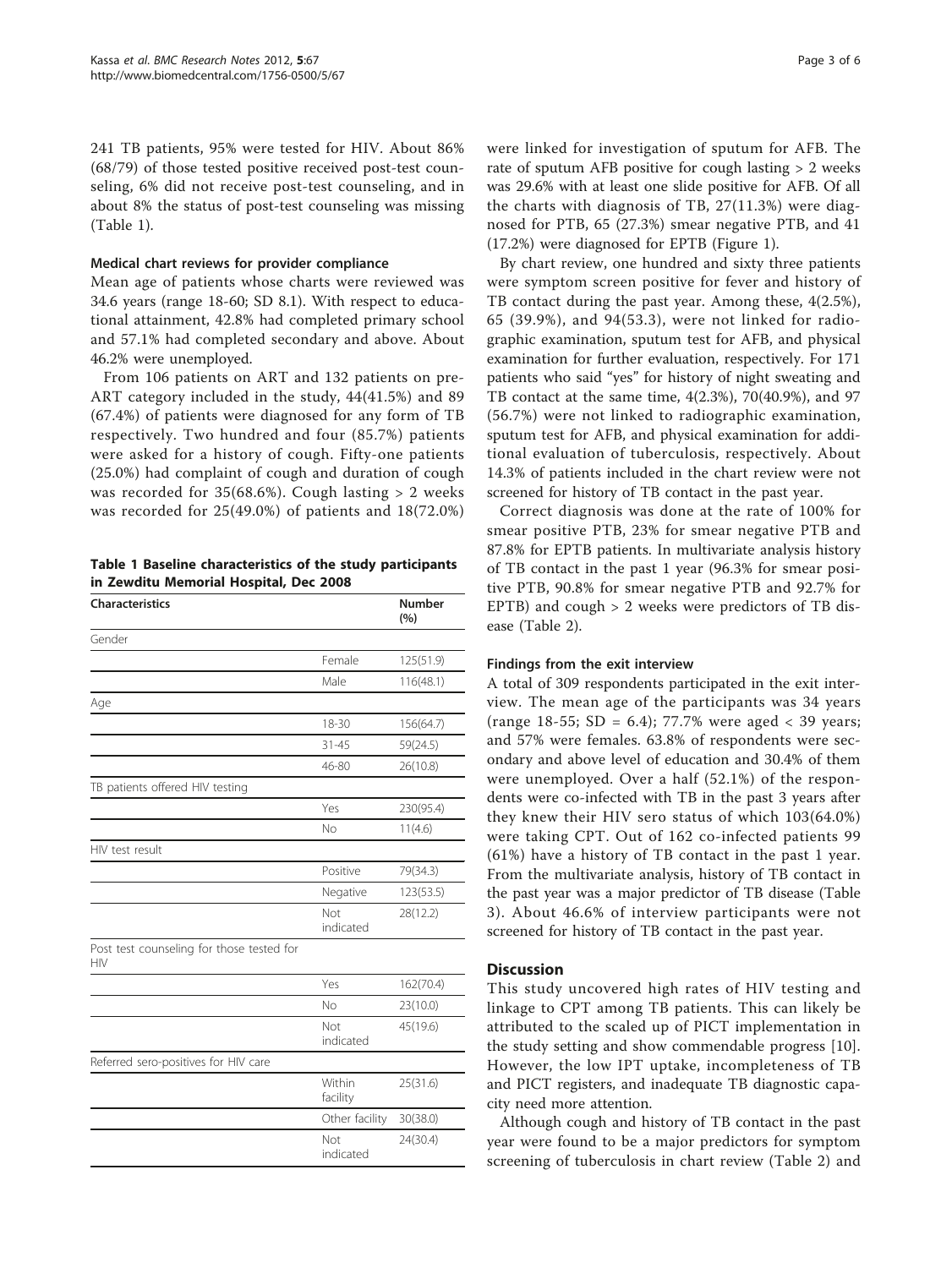241 TB patients, 95% were tested for HIV. About 86% (68/79) of those tested positive received post-test counseling, 6% did not receive post-test counseling, and in about 8% the status of post-test counseling was missing (Table 1).

#### Medical chart reviews for provider compliance

Mean age of patients whose charts were reviewed was 34.6 years (range 18-60; SD 8.1). With respect to educational attainment, 42.8% had completed primary school and 57.1% had completed secondary and above. About 46.2% were unemployed.

From 106 patients on ART and 132 patients on pre-ART category included in the study, 44(41.5%) and 89 (67.4%) of patients were diagnosed for any form of TB respectively. Two hundred and four (85.7%) patients were asked for a history of cough. Fifty-one patients (25.0%) had complaint of cough and duration of cough was recorded for 35(68.6%). Cough lasting > 2 weeks was recorded for 25(49.0%) of patients and 18(72.0%)

Table 1 Baseline characteristics of the study participants in Zewditu Memorial Hospital, Dec 2008

| <b>Characteristics</b>                                  |                    | <b>Number</b><br>(%) |
|---------------------------------------------------------|--------------------|----------------------|
| Gender                                                  |                    |                      |
|                                                         | Female             | 125(51.9)            |
|                                                         | Male               | 116(48.1)            |
| Age                                                     |                    |                      |
|                                                         | 18-30              | 156(64.7)            |
|                                                         | $31 - 45$          | 59(24.5)             |
|                                                         | 46-80              | 26(10.8)             |
| TB patients offered HIV testing                         |                    |                      |
|                                                         | Yes                | 230(95.4)            |
|                                                         | No                 | 11(4.6)              |
| HIV test result                                         |                    |                      |
|                                                         | Positive           | 79(34.3)             |
|                                                         | Negative           | 123(53.5)            |
|                                                         | Not<br>indicated   | 28(12.2)             |
| Post test counseling for those tested for<br><b>HIV</b> |                    |                      |
|                                                         | Yes                | 162(70.4)            |
|                                                         | No                 | 23(10.0)             |
|                                                         | Not<br>indicated   | 45(19.6)             |
| Referred sero-positives for HIV care                    |                    |                      |
|                                                         | Within<br>facility | 25(31.6)             |
|                                                         | Other facility     | 30(38.0)             |
|                                                         | Not<br>indicated   | 24(30.4)             |

were linked for investigation of sputum for AFB. The rate of sputum AFB positive for cough lasting > 2 weeks was 29.6% with at least one slide positive for AFB. Of all the charts with diagnosis of TB, 27(11.3%) were diagnosed for PTB, 65 (27.3%) smear negative PTB, and 41 (17.2%) were diagnosed for EPTB (Figure [1](#page-3-0)).

By chart review, one hundred and sixty three patients were symptom screen positive for fever and history of TB contact during the past year. Among these, 4(2.5%), 65 (39.9%), and 94(53.3), were not linked for radiographic examination, sputum test for AFB, and physical examination for further evaluation, respectively. For 171 patients who said "yes" for history of night sweating and TB contact at the same time, 4(2.3%), 70(40.9%), and 97 (56.7%) were not linked to radiographic examination, sputum test for AFB, and physical examination for additional evaluation of tuberculosis, respectively. About 14.3% of patients included in the chart review were not screened for history of TB contact in the past year.

Correct diagnosis was done at the rate of 100% for smear positive PTB, 23% for smear negative PTB and 87.8% for EPTB patients. In multivariate analysis history of TB contact in the past 1 year (96.3% for smear positive PTB, 90.8% for smear negative PTB and 92.7% for EPTB) and cough > 2 weeks were predictors of TB disease (Table [2](#page-4-0)).

## Findings from the exit interview

A total of 309 respondents participated in the exit interview. The mean age of the participants was 34 years (range 18-55; SD = 6.4); 77.7% were aged < 39 years; and 57% were females. 63.8% of respondents were secondary and above level of education and 30.4% of them were unemployed. Over a half (52.1%) of the respondents were co-infected with TB in the past 3 years after they knew their HIV sero status of which 103(64.0%) were taking CPT. Out of 162 co-infected patients 99 (61%) have a history of TB contact in the past 1 year. From the multivariate analysis, history of TB contact in the past year was a major predictor of TB disease (Table [3](#page-4-0)). About 46.6% of interview participants were not screened for history of TB contact in the past year.

## **Discussion**

This study uncovered high rates of HIV testing and linkage to CPT among TB patients. This can likely be attributed to the scaled up of PICT implementation in the study setting and show commendable progress [\[10](#page-5-0)]. However, the low IPT uptake, incompleteness of TB and PICT registers, and inadequate TB diagnostic capacity need more attention.

Although cough and history of TB contact in the past year were found to be a major predictors for symptom screening of tuberculosis in chart review (Table [2\)](#page-4-0) and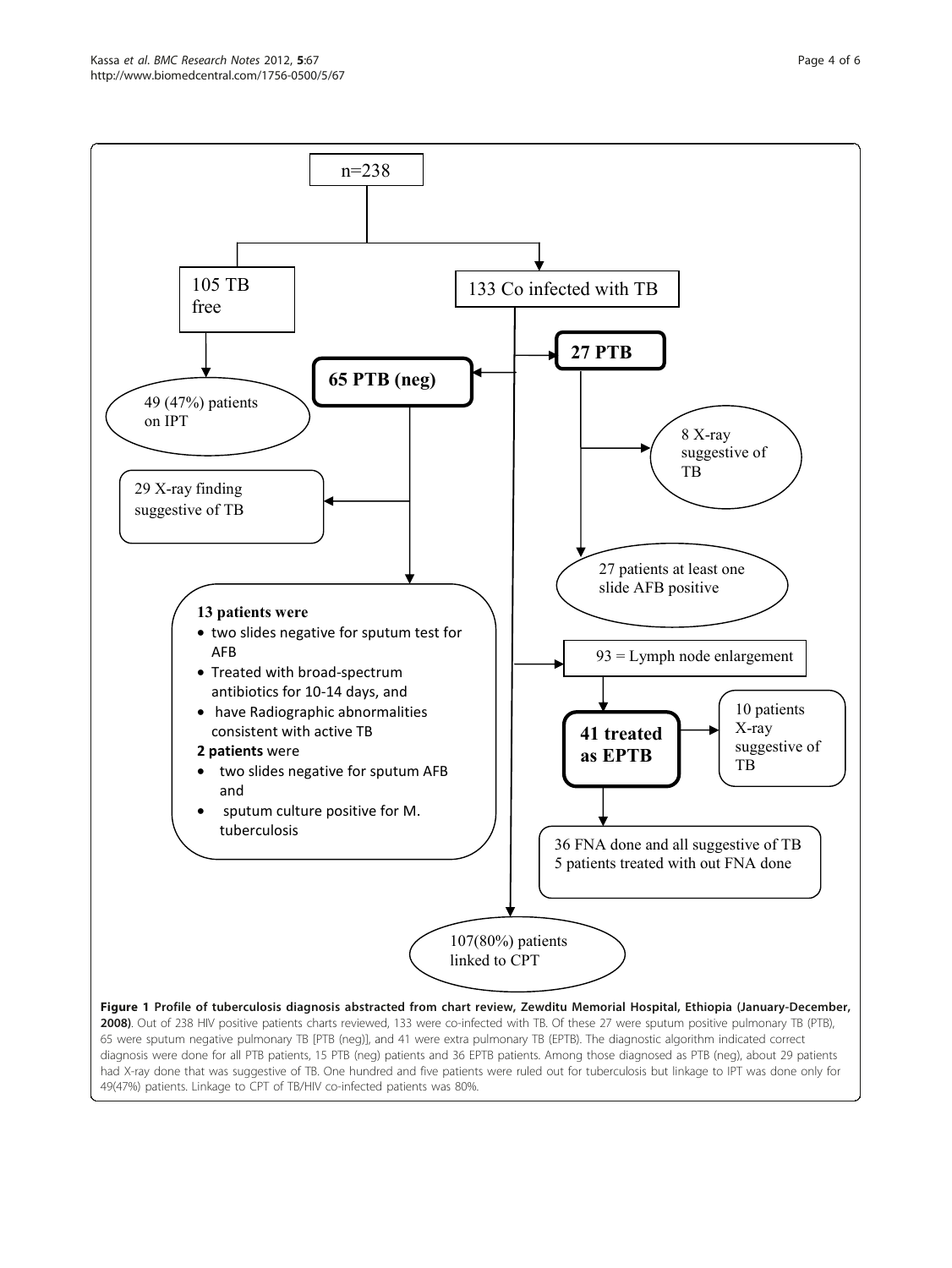<span id="page-3-0"></span>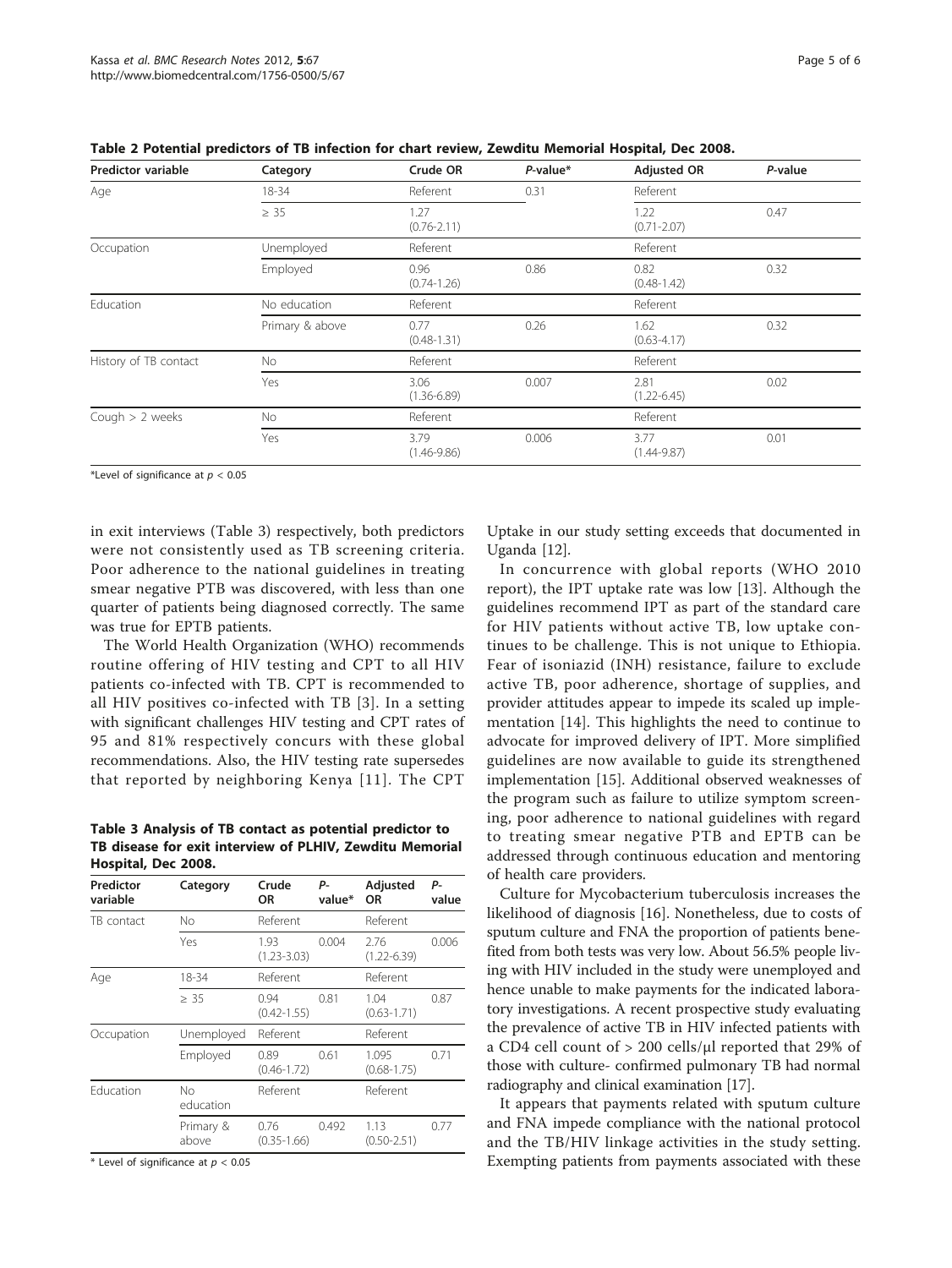| Predictor variable    | Category        | Crude OR                | $P$ -value* | <b>Adjusted OR</b>      | P-value |
|-----------------------|-----------------|-------------------------|-------------|-------------------------|---------|
| Age                   | 18-34           | Referent                | 0.31        | Referent                |         |
|                       | $\geq 35$       | 1.27<br>$(0.76 - 2.11)$ |             | 1.22<br>$(0.71 - 2.07)$ | 0.47    |
| Occupation            | Unemployed      | Referent                |             | Referent                |         |
|                       | Employed        | 0.96<br>$(0.74 - 1.26)$ | 0.86        | 0.82<br>$(0.48 - 1.42)$ | 0.32    |
| Education             | No education    | Referent                |             | Referent                |         |
|                       | Primary & above | 0.77<br>$(0.48 - 1.31)$ | 0.26        | 1.62<br>$(0.63 - 4.17)$ | 0.32    |
| History of TB contact | No              | Referent                |             | Referent                |         |
|                       | Yes             | 3.06<br>$(1.36 - 6.89)$ | 0.007       | 2.81<br>$(1.22 - 6.45)$ | 0.02    |
| Cough $> 2$ weeks     | <b>No</b>       | Referent                |             | Referent                |         |
|                       | Yes             | 3.79<br>$(1.46 - 9.86)$ | 0.006       | 3.77<br>$(1.44 - 9.87)$ | 0.01    |

<span id="page-4-0"></span>Table 2 Potential predictors of TB infection for chart review, Zewditu Memorial Hospital, Dec 2008.

\*Level of significance at  $p < 0.05$ 

in exit interviews (Table 3) respectively, both predictors were not consistently used as TB screening criteria. Poor adherence to the national guidelines in treating smear negative PTB was discovered, with less than one quarter of patients being diagnosed correctly. The same was true for EPTB patients.

The World Health Organization (WHO) recommends routine offering of HIV testing and CPT to all HIV patients co-infected with TB. CPT is recommended to all HIV positives co-infected with TB [[3\]](#page-5-0). In a setting with significant challenges HIV testing and CPT rates of 95 and 81% respectively concurs with these global recommendations. Also, the HIV testing rate supersedes that reported by neighboring Kenya [\[11](#page-5-0)]. The CPT

Table 3 Analysis of TB contact as potential predictor to TB disease for exit interview of PLHIV, Zewditu Memorial Hospital, Dec 2008.

| Predictor<br>variable | Category           | Crude<br>OR             | Р-<br>value* | Adjusted<br><b>OR</b>    | р.<br>value |
|-----------------------|--------------------|-------------------------|--------------|--------------------------|-------------|
| TB contact            | No                 | Referent                |              | Referent                 |             |
|                       | Yes                | 1.93<br>$(1.23 - 3.03)$ | 0.004        | 2.76<br>$(1.22 - 6.39)$  | 0.006       |
| Age                   | 18-34              | Referent                |              | Referent                 |             |
|                       | $\geq 35$          | 0.94<br>$(0.42 - 1.55)$ | 0.81         | 1.04<br>$(0.63 - 1.71)$  | 0.87        |
| Occupation            | Unemployed         | Referent                |              | Referent                 |             |
|                       | Employed           | 0.89<br>$(0.46 - 1.72)$ | 0.61         | 1.095<br>$(0.68 - 1.75)$ | 0.71        |
| Education             | No<br>education    | Referent                |              | Referent                 |             |
|                       | Primary &<br>above | 0.76<br>$(0.35 - 1.66)$ | 0.492        | 1.13<br>$(0.50 - 2.51)$  | 0.77        |

\* Level of significance at  $p < 0.05$ 

Uptake in our study setting exceeds that documented in Uganda [\[12](#page-5-0)].

In concurrence with global reports (WHO 2010 report), the IPT uptake rate was low [[13\]](#page-5-0). Although the guidelines recommend IPT as part of the standard care for HIV patients without active TB, low uptake continues to be challenge. This is not unique to Ethiopia. Fear of isoniazid (INH) resistance, failure to exclude active TB, poor adherence, shortage of supplies, and provider attitudes appear to impede its scaled up implementation [[14\]](#page-5-0). This highlights the need to continue to advocate for improved delivery of IPT. More simplified guidelines are now available to guide its strengthened implementation [\[15](#page-5-0)]. Additional observed weaknesses of the program such as failure to utilize symptom screening, poor adherence to national guidelines with regard to treating smear negative PTB and EPTB can be addressed through continuous education and mentoring of health care providers.

Culture for Mycobacterium tuberculosis increases the likelihood of diagnosis [[16\]](#page-5-0). Nonetheless, due to costs of sputum culture and FNA the proportion of patients benefited from both tests was very low. About 56.5% people living with HIV included in the study were unemployed and hence unable to make payments for the indicated laboratory investigations. A recent prospective study evaluating the prevalence of active TB in HIV infected patients with a CD4 cell count of > 200 cells/μl reported that 29% of those with culture- confirmed pulmonary TB had normal radiography and clinical examination [[17](#page-5-0)].

It appears that payments related with sputum culture and FNA impede compliance with the national protocol and the TB/HIV linkage activities in the study setting. Exempting patients from payments associated with these